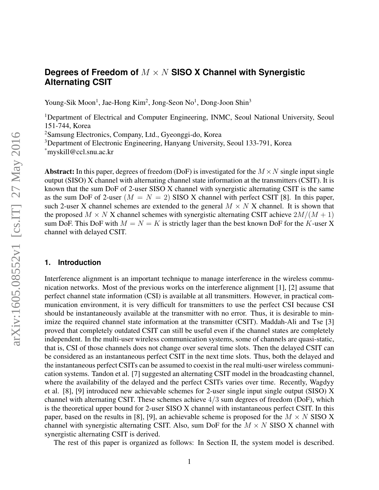# **Degrees of Freedom of** M × N **SISO X Channel with Synergistic Alternating CSIT**

Young-Sik Moon<sup>1</sup>, Jae-Hong Kim<sup>2</sup>, Jong-Seon No<sup>1</sup>, Dong-Joon Shin<sup>3</sup>

<sup>1</sup>Department of Electrical and Computer Engineering, INMC, Seoul National University, Seoul 151-744, Korea

<sup>2</sup>Samsung Electronics, Company, Ltd., Gyeonggi-do, Korea

<sup>3</sup>Department of Electronic Engineering, Hanyang University, Seoul 133-791, Korea

\*myskill@ccl.snu.ac.kr

**Abstract:** In this paper, degrees of freedom (DoF) is investigated for the  $M \times N$  single input single output (SISO) X channel with alternating channel state information at the transmitters (CSIT). It is known that the sum DoF of 2-user SISO X channel with synergistic alternating CSIT is the same as the sum DoF of 2-user  $(M = N = 2)$  SISO X channel with perfect CSIT [8]. In this paper, such 2-user X channel schemes are extended to the general  $M \times N$  X channel. It is shown that the proposed  $M \times N$  X channel schemes with synergistic alternating CSIT achieve  $2M/(M+1)$ sum DoF. This DoF with  $M = N = K$  is strictly lager than the best known DoF for the K-user X channel with delayed CSIT.

#### **1. Introduction**

Interference alignment is an important technique to manage interference in the wireless communication networks. Most of the previous works on the interference alignment [1], [2] assume that perfect channel state information (CSI) is available at all transmitters. However, in practical communication environment, it is very difficult for transmitters to use the perfect CSI because CSI should be instantaneously available at the transmitter with no error. Thus, it is desirable to minimize the required channel state information at the transmitter (CSIT). Maddah-Ali and Tse [3] proved that completely outdated CSIT can still be useful even if the channel states are completely independent. In the multi-user wireless communication systems, some of channels are quasi-static, that is, CSI of those channels does not change over several time slots. Then the delayed CSIT can be considered as an instantaneous perfect CSIT in the next time slots. Thus, both the delayed and the instantaneous perfect CSITs can be assumed to coexist in the real multi-user wireless communication systems. Tandon et al. [7] suggested an alternating CSIT model in the broadcasting channel, where the availability of the delayed and the perfect CSITs varies over time. Recently, Wagdyy et al. [8], [9] introduced new achievable schemes for 2-user single input single output (SISO) X channel with alternating CSIT. These schemes achieve 4/3 sum degrees of freedom (DoF), which is the theoretical upper bound for 2-user SISO X channel with instantaneous perfect CSIT. In this paper, based on the results in [8], [9], an achievable scheme is proposed for the  $M \times N$  SISO X channel with synergistic alternating CSIT. Also, sum DoF for the  $M \times N$  SISO X channel with synergistic alternating CSIT is derived.

The rest of this paper is organized as follows: In Section II, the system model is described.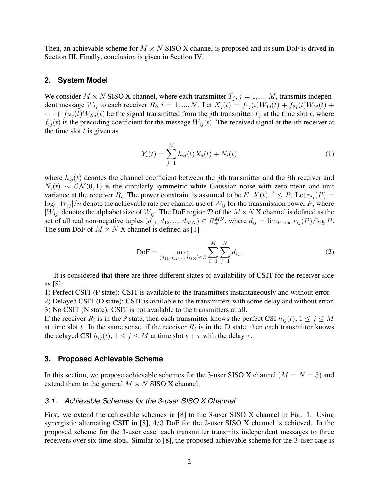Then, an achievable scheme for  $M \times N$  SISO X channel is proposed and its sum DoF is drived in Section III. Finally, conclusion is given in Section IV.

#### **2. System Model**

We consider  $M \times N$  SISO X channel, where each transmitter  $T_j$ ,  $j = 1, ..., M$ , transmits independent message  $W_{ij}$  to each receiver  $R_i$ ,  $i = 1, ..., N$ . Let  $X_j(t) = f_{1j}(t)W_{1j}(t) + f_{2j}(t)W_{2j}(t) + f_{3j}(t)W_{3j}(t)$  $\cdots + f_{Nj}(t)W_{Nj}(t)$  be the signal transmitted from the *j*th transmitter  $T_j$  at the time slot *t*, where  $f_{ij}(t)$  is the precoding coefficient for the message  $W_{ij}(t)$ . The received signal at the *i*th receiver at the time slot  $t$  is given as

$$
Y_i(t) = \sum_{j=1}^{M} h_{ij}(t) X_j(t) + N_i(t)
$$
\n(1)

where  $h_{ij}(t)$  denotes the channel coefficient between the jth transmitter and the ith receiver and  $N_i(t) \sim \mathcal{CN}(0, 1)$  is the circularly symmetric white Gaussian noise with zero mean and unit variance at the receiver  $R_i$ . The power constraint is assumed to be  $E||X(t)||^2 \leq P$ . Let  $r_{ij}(P) =$  $\log_2|W_{ij}|/n$  denote the achievable rate per channel use of  $W_{ij}$  for the transmission power P, where  $|W_{ij}|$  denotes the alphabet size of  $W_{ij}$ . The DoF region D of the  $M \times N$  X channel is defined as the set of all real non-negative tuples  $(d_{11}, d_{12}, ..., d_{MN}) \in R_+^{MN}$ , where  $d_{ij} = \lim_{P \to \infty} r_{ij}(P)/\log P$ . The sum DoF of  $M \times N$  X channel is defined as [1]

$$
\text{DoF} = \max_{(d_{11}, d_{12}, \dots, d_{MN}) \in \mathcal{D}} \sum_{i=1}^{M} \sum_{j=1}^{N} d_{ij}.
$$
 (2)

It is considered that there are three different states of availability of CSIT for the receiver side as [8]:

1) Perfect CSIT (P state): CSIT is available to the transmitters instantaneously and without error.

2) Delayed CSIT (D state): CSIT is available to the transmitters with some delay and without error. 3) No CSIT (N state): CSIT is not available to the transmitters at all.

If the receiver  $R_i$  is in the P state, then each transmitter knows the perfect CSI  $h_{ij}(t)$ ,  $1 \leq j \leq M$ at time slot t. In the same sense, if the receiver  $R_i$  is in the D state, then each transmitter knows the delayed CSI  $h_{ij}(t)$ ,  $1 \leq j \leq M$  at time slot  $t + \tau$  with the delay  $\tau$ .

#### **3. Proposed Achievable Scheme**

In this section, we propose achievable schemes for the 3-user SISO X channel ( $M = N = 3$ ) and extend them to the general  $M \times N$  SISO X channel.

#### *3.1. Achievable Schemes for the 3-user SISO X Channel*

First, we extend the achievable schemes in [8] to the 3-user SISO X channel in Fig. 1. Using synergistic alternating CSIT in [8], 4/3 DoF for the 2-user SISO X channel is achieved. In the proposed scheme for the 3-user case, each transmitter transmits independent messages to three receivers over six time slots. Similar to [8], the proposed achievable scheme for the 3-user case is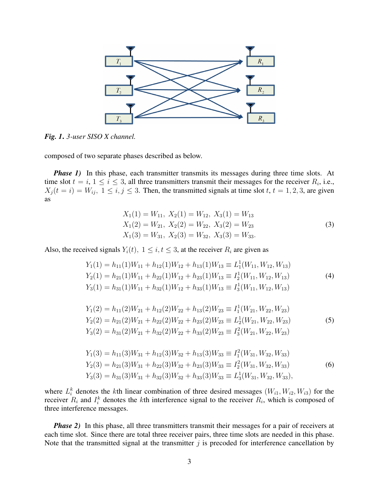

*Fig. 1*. *3-user SISO X channel.*

composed of two separate phases described as below.

*Phase 1)* In this phase, each transmitter transmits its messages during three time slots. At time slot  $t = i$ ,  $1 \le i \le 3$ , all three transmitters transmit their messages for the receiver  $R_i$ , i.e.,  $X_j(t = i) = W_{ij}, 1 \le i, j \le 3$ . Then, the transmitted signals at time slot t,  $t = 1, 2, 3$ , are given as

$$
X_1(1) = W_{11}, X_2(1) = W_{12}, X_3(1) = W_{13}
$$
  
\n
$$
X_1(2) = W_{21}, X_2(2) = W_{22}, X_3(2) = W_{23}
$$
  
\n
$$
X_1(3) = W_{31}, X_2(3) = W_{32}, X_3(3) = W_{33}.
$$
\n(3)

Also, the received signals  $Y_i(t)$ ,  $1 \leq i, t \leq 3$ , at the receiver  $R_i$  are given as

$$
Y_1(1) = h_{11}(1)W_{11} + h_{12}(1)W_{12} + h_{13}(1)W_{13} \equiv L_1^1(W_{11}, W_{12}, W_{13})
$$
  
\n
$$
Y_2(1) = h_{21}(1)W_{11} + h_{22}(1)W_{12} + h_{23}(1)W_{13} \equiv I_2^1(W_{11}, W_{12}, W_{13})
$$
  
\n
$$
Y_3(1) = h_{31}(1)W_{11} + h_{32}(1)W_{12} + h_{33}(1)W_{13} \equiv I_3^1(W_{11}, W_{12}, W_{13})
$$
  
\n(4)

$$
Y_1(2) = h_{11}(2)W_{21} + h_{12}(2)W_{22} + h_{13}(2)W_{23} \equiv I_1^1(W_{21}, W_{22}, W_{23})
$$
  
\n
$$
Y_2(2) = h_{21}(2)W_{21} + h_{22}(2)W_{22} + h_{23}(2)W_{23} \equiv L_2^1(W_{21}, W_{22}, W_{23})
$$
  
\n
$$
Y_3(2) = h_{31}(2)W_{21} + h_{32}(2)W_{22} + h_{33}(2)W_{23} \equiv I_3^2(W_{21}, W_{22}, W_{23})
$$
  
\n(5)

$$
Y_1(3) = h_{11}(3)W_{31} + h_{12}(3)W_{32} + h_{13}(3)W_{33} \equiv I_1^2(W_{31}, W_{32}, W_{33})
$$
  
\n
$$
Y_2(3) = h_{21}(3)W_{31} + h_{22}(3)W_{32} + h_{23}(3)W_{33} \equiv I_2^2(W_{31}, W_{32}, W_{33})
$$
  
\n
$$
Y_3(3) = h_{31}(3)W_{31} + h_{32}(3)W_{32} + h_{33}(3)W_{33} \equiv L_3^1(W_{31}, W_{32}, W_{33}),
$$
  
\n(6)

where  $L_i^k$  denotes the kth linear combination of three desired messages  $(W_{i1}, W_{i2}, W_{i3})$  for the receiver  $R_i$  and  $I_i^k$  denotes the kth interference signal to the receiver  $R_i$ , which is composed of three interference messages.

*Phase 2)* In this phase, all three transmitters transmit their messages for a pair of receivers at each time slot. Since there are total three receiver pairs, three time slots are needed in this phase. Note that the transmitted signal at the transmitter  $j$  is precoded for interference cancellation by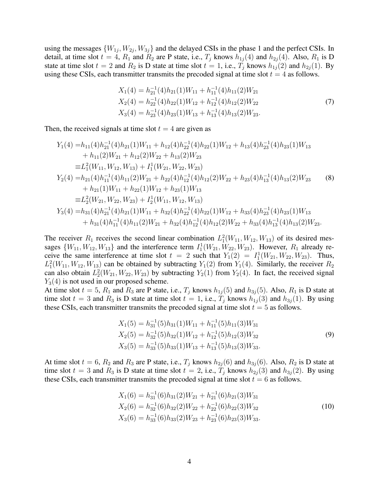using the messages  $\{W_{1j}, W_{2j}, W_{3j}\}$  and the delayed CSIs in the phase 1 and the perfect CSIs. In detail, at time slot  $t = 4$ ,  $R_1$  and  $R_2$  are P state, i.e.,  $T_j$  knows  $h_{1j}(4)$  and  $h_{2j}(4)$ . Also,  $R_1$  is D state at time slot  $t = 2$  and  $R_2$  is D state at time slot  $t = 1$ , i.e.,  $T_i$  knows  $h_{1i}(2)$  and  $h_{2i}(1)$ . By using these CSIs, each transmitter transmits the precoded signal at time slot  $t = 4$  as follows.

$$
X_1(4) = h_{21}^{-1}(4)h_{21}(1)W_{11} + h_{11}^{-1}(4)h_{11}(2)W_{21}
$$
  
\n
$$
X_2(4) = h_{22}^{-1}(4)h_{22}(1)W_{12} + h_{12}^{-1}(4)h_{12}(2)W_{22}
$$
  
\n
$$
X_3(4) = h_{23}^{-1}(4)h_{23}(1)W_{13} + h_{13}^{-1}(4)h_{13}(2)W_{23}.
$$
\n(7)

Then, the received signals at time slot  $t = 4$  are given as

$$
Y_1(4) = h_{11}(4)h_{21}^{-1}(4)h_{21}(1)W_{11} + h_{12}(4)h_{22}^{-1}(4)h_{22}(1)W_{12} + h_{13}(4)h_{23}^{-1}(4)h_{23}(1)W_{13}
$$
  
+  $h_{11}(2)W_{21} + h_{12}(2)W_{22} + h_{13}(2)W_{23}$   

$$
\equiv L_1^2(W_{11}, W_{12}, W_{13}) + I_1^1(W_{21}, W_{22}, W_{23})
$$
  

$$
Y_2(4) = h_{21}(4)h_{11}^{-1}(4)h_{11}(2)W_{21} + h_{22}(4)h_{12}^{-1}(4)h_{12}(2)W_{22} + h_{23}(4)h_{13}^{-1}(4)h_{13}(2)W_{23}
$$
 (8)  
+  $h_{21}(1)W_{11} + h_{22}(1)W_{12} + h_{23}(1)W_{13}$   

$$
\equiv L_2^2(W_{21}, W_{22}, W_{23}) + I_2^1(W_{11}, W_{12}, W_{13})
$$
  

$$
Y_3(4) = h_{31}(4)h_{21}^{-1}(4)h_{21}(1)W_{11} + h_{32}(4)h_{22}^{-1}(4)h_{22}(1)W_{12} + h_{33}(4)h_{23}^{-1}(4)h_{23}(1)W_{13}
$$
  
+  $h_{31}(4)h_{11}^{-1}(4)h_{11}(2)W_{21} + h_{32}(4)h_{12}^{-1}(4)h_{12}(2)W_{22} + h_{33}(4)h_{13}^{-1}(4)h_{13}(2)W_{23}.$ 

The receiver  $R_1$  receives the second linear combination  $L_1^2(W_{11}, W_{12}, W_{13})$  of its desired messages  $\{W_{11}, W_{12}, W_{13}\}$  and the interference term  $I_1^1(W_{21}, W_{22}, W_{23})$ . However,  $R_1$  already receive the same interference at time slot  $t = 2$  such that  $Y_1(2) = I_1^1(W_{21}, W_{22}, W_{23})$ . Thus,  $L_1^2(W_{11}, W_{12}, W_{13})$  can be obtained by subtracting  $Y_1(2)$  from  $Y_1(4)$ . Similarly, the receiver  $R_2$ can also obtain  $L_2^2(W_{21}, W_{22}, W_{23})$  by subtracting  $Y_2(1)$  from  $Y_2(4)$ . In fact, the received signal  $Y_3(4)$  is not used in our proposed scheme.

At time slot  $t = 5$ ,  $R_1$  and  $R_3$  are P state, i.e.,  $T_j$  knows  $h_{1j}(5)$  and  $h_{3j}(5)$ . Also,  $R_1$  is D state at time slot  $t = 3$  and  $R_3$  is D state at time slot  $t = 1$ , i.e.,  $T_i$  knows  $h_{1i}(3)$  and  $h_{3i}(1)$ . By using these CSIs, each transmitter transmits the precoded signal at time slot  $t = 5$  as follows.

$$
X_1(5) = h_{31}^{-1}(5)h_{31}(1)W_{11} + h_{11}^{-1}(5)h_{11}(3)W_{31}
$$
  
\n
$$
X_2(5) = h_{32}^{-1}(5)h_{32}(1)W_{12} + h_{12}^{-1}(5)h_{12}(3)W_{32}
$$
  
\n
$$
X_3(5) = h_{33}^{-1}(5)h_{33}(1)W_{13} + h_{13}^{-1}(5)h_{13}(3)W_{33}.
$$
  
\n(9)

At time slot  $t = 6$ ,  $R_2$  and  $R_3$  are P state, i.e.,  $T_j$  knows  $h_{2j}(6)$  and  $h_{3j}(6)$ . Also,  $R_2$  is D state at time slot  $t = 3$  and  $R_3$  is D state at time slot  $t = 2$ , i.e.,  $T_j$  knows  $h_{2j}(3)$  and  $h_{3j}(2)$ . By using these CSIs, each transmitter transmits the precoded signal at time slot  $t = 6$  as follows.

$$
X_1(6) = h_{31}^{-1}(6)h_{31}(2)W_{21} + h_{21}^{-1}(6)h_{21}(3)W_{31}
$$
  
\n
$$
X_2(6) = h_{32}^{-1}(6)h_{32}(2)W_{22} + h_{22}^{-1}(6)h_{22}(3)W_{32}
$$
  
\n
$$
X_3(6) = h_{33}^{-1}(6)h_{33}(2)W_{23} + h_{23}^{-1}(6)h_{23}(3)W_{33}.
$$
  
\n(10)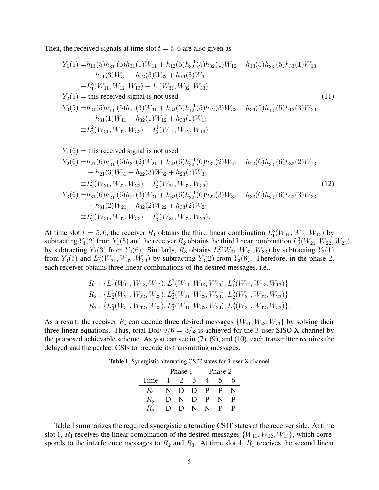Then, the received signals at time slot  $t = 5, 6$  are also given as

$$
Y_1(5) = h_{11}(5)h_{31}^{-1}(5)h_{31}(1)W_{11} + h_{12}(5)h_{32}^{-1}(5)h_{32}(1)W_{12} + h_{13}(5)h_{33}^{-1}(5)h_{33}(1)W_{13}
$$
  
+  $h_{11}(3)W_{31} + h_{12}(3)W_{32} + h_{13}(3)W_{33}$   
\n
$$
\equiv L_1^3(W_{11}, W_{12}, W_{13}) + I_1^2(W_{31}, W_{32}, W_{33})
$$
  
\n
$$
Y_2(5) = \text{this received signal is not used}
$$
  
\n
$$
Y_3(5) = h_{31}(5)h_{11}^{-1}(5)h_{11}(3)W_{31} + h_{32}(5)h_{12}^{-1}(5)h_{12}(3)W_{32} + h_{33}(5)h_{13}^{-1}(5)h_{13}(3)W_{33}
$$
  
\n
$$
+ h_{31}(1)W_{11} + h_{32}(1)W_{12} + h_{33}(1)W_{13}
$$
  
\n
$$
\equiv L_3^2(W_{31}, W_{32}, W_{33}) + I_3^1(W_{11}, W_{12}, W_{13})
$$
  
\n(11)

$$
Y_1(6) = \text{this received signal is not used}
$$
  
\n
$$
Y_2(6) = h_{21}(6)h_{31}^{-1}(6)h_{31}(2)W_{21} + h_{22}(6)h_{32}^{-1}(6)h_{32}(2)W_{22} + h_{23}(6)h_{33}^{-1}(6)h_{33}(2)W_{23}
$$
  
\n
$$
+ h_{21}(3)W_{31} + h_{22}(3)W_{32} + h_{23}(3)W_{33}
$$
  
\n
$$
\equiv L_2^3(W_{21}, W_{22}, W_{23}) + I_2^2(W_{31}, W_{32}, W_{33})
$$
  
\n
$$
Y_3(6) = h_{31}(6)h_{21}^{-1}(6)h_{21}(3)W_{31} + h_{32}(6)h_{22}^{-1}(6)h_{22}(3)W_{32} + h_{33}(6)h_{23}^{-1}(6)h_{23}(3)W_{33}
$$
  
\n
$$
+ h_{31}(2)W_{21} + h_{32}(2)W_{22} + h_{33}(2)W_{23}
$$
  
\n
$$
\equiv L_3^3(W_{31}, W_{32}, W_{33}) + I_3^2(W_{21}, W_{22}, W_{23}).
$$
  
\n(12)

At time slot  $t = 5, 6$ , the receiver  $R_1$  obtains the third linear combination  $L_1^3(W_{11}, W_{12}, W_{13})$  by subtracting  $Y_1(2)$  from  $Y_1(5)$  and the receiver  $R_2$  obtains the third linear combination  $L_2^3(W_{21}, W_{22}, W_{23})$ by subtracting  $Y_2(3)$  from  $Y_2(6)$ . Similarly,  $R_3$  obtains  $L_3^2(W_{31}, W_{32}, W_{33})$  by subtracting  $Y_3(1)$ from  $Y_3(5)$  and  $L_3^3(W_{31}, W_{32}, W_{33})$  by subtracting  $Y_3(2)$  from  $Y_3(6)$ . Therefore, in the phase 2, each receiver obtains three linear combinations of the desired messages, i.e.,

$$
R_1: \{L_1^1(W_{11}, W_{12}, W_{13}), L_1^2(W_{11}, W_{12}, W_{13}), L_1^3(W_{11}, W_{12}, W_{13})\}
$$
  
\n
$$
R_2: \{L_2^1(W_{21}, W_{22}, W_{23}), L_2^2(W_{21}, W_{22}, W_{23}), L_2^3(W_{21}, W_{22}, W_{23})\}
$$
  
\n
$$
R_3: \{L_3^1(W_{31}, W_{32}, W_{33}), L_3^2(W_{31}, W_{32}, W_{33}), L_3^3(W_{31}, W_{32}, W_{33})\}.
$$

As a result, the receiver  $R_i$  can decode three desired messages  $\{W_{i1}, W_{i2}, W_{i3}\}$  by solving their three linear equations. Thus, total DoF  $9/6 = 3/2$  is achieved for the 3-user SISO X channel by the proposed achievable scheme. As you can see in (7), (9), and (10), each transmitter requires the delayed and the perfect CSIs to precode its transmitting messages.

|             |        | Phase 1 |        | Phase 2 |   |   |  |  |
|-------------|--------|---------|--------|---------|---|---|--|--|
| Time        |        |         |        |         |   | n |  |  |
| $R_{\rm 1}$ |        | $\Box$  | $\Box$ | P       | P |   |  |  |
| $R_{\rm 2}$ | $\cup$ |         | Ð      | P       |   | P |  |  |
| .L2         | Ð      | Ð       |        |         | P | P |  |  |

Table 1 Synergistic alternating CSIT states for 3-user X channel

Table I summarizes the required synergistic alternating CSIT states at the receiver side. At time slot 1,  $R_1$  receives the linear combination of the desired messages  $\{W_{11}, W_{12}, W_{13}\}$ , which corresponds to the interference messages to  $R_2$  and  $R_3$ . At time slot 4,  $R_1$  receives the second linear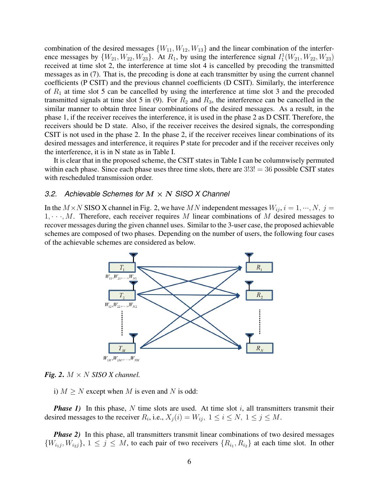combination of the desired messages  $\{W_{11}, W_{12}, W_{13}\}$  and the linear combination of the interference messages by  $\{W_{21}, W_{22}, W_{23}\}\$ . At  $R_1$ , by using the interference signal  $I_1^1(W_{21}, W_{22}, W_{23})$ received at time slot 2, the interference at time slot 4 is cancelled by precoding the transmitted messages as in (7). That is, the precoding is done at each transmitter by using the current channel coefficients (P CSIT) and the previous channel coefficients (D CSIT). Similarly, the interference of  $R_1$  at time slot 5 can be cancelled by using the interference at time slot 3 and the precoded transmitted signals at time slot 5 in (9). For  $R_2$  and  $R_3$ , the interference can be cancelled in the similar manner to obtain three linear combinations of the desired messages. As a result, in the phase 1, if the receiver receives the interference, it is used in the phase 2 as D CSIT. Therefore, the receivers should be D state. Also, if the receiver receives the desired signals, the corresponding CSIT is not used in the phase 2. In the phase 2, if the receiver receives linear combinations of its desired messages and interference, it requires P state for precoder and if the receiver receives only the interference, it is in N state as in Table I.

It is clear that in the proposed scheme, the CSIT states in Table I can be columnwisely permuted within each phase. Since each phase uses three time slots, there are  $3!3! = 36$  possible CSIT states with rescheduled transmission order.

#### *3.2. Achievable Schemes for* M × N *SISO X Channel*

In the  $M \times N$  SISO X channel in Fig. 2, we have MN independent messages  $W_{ij}$ ,  $i = 1, \dots, N$ ,  $j =$  $1, \dots, M$ . Therefore, each receiver requires M linear combinations of M desired messages to recover messages during the given channel uses. Similar to the 3-user case, the proposed achievable schemes are composed of two phases. Depending on the number of users, the following four cases of the achievable schemes are considered as below.



*Fig. 2.*  $M \times N$  *SISO X channel.* 

i)  $M > N$  except when M is even and N is odd:

*Phase 1)* In this phase, N time slots are used. At time slot i, all transmitters transmit their desired messages to the receiver  $R_i$ , i.e.,  $X_j(i) = W_{ij}$ ,  $1 \le i \le N$ ,  $1 \le j \le M$ .

*Phase 2)* In this phase, all transmitters transmit linear combinations of two desired messages  $\{W_{i_1j}, W_{i_2j}\}, 1 \leq j \leq M$ , to each pair of two receivers  $\{R_{i_1}, R_{i_2}\}\$  at each time slot. In other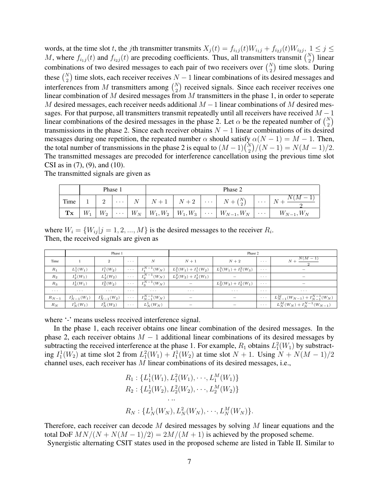words, at the time slot t, the jth transmitter transmits  $X_j(t) = f_{i_1j}(t)W_{i_1j} + f_{i_2j}(t)W_{i_2j}$ ,  $1 \le j \le k$ M, where  $f_{i_1j}(t)$  and  $f_{i_2j}(t)$  are precoding coefficients. Thus, all transmitters transmit  $\binom{N}{2}$  linear combinations of two desired messages to each pair of two receivers over  $\binom{N}{2}$  time slots. During these  $\binom{N}{2}$  time slots, each receiver receives  $N-1$  linear combinations of its desired messages and interferences from M transmitters among  $\binom{N}{2}$  received signals. Since each receiver receives one linear combination of M desired messages from M transmitters in the phase 1, in order to seperate M desired messages, each receiver needs additional  $M-1$  linear combinations of M desired messages. For that purpose, all transmitters transmit repeatedly until all receivers have received  $M - 1$ linear combinations of the desired messages in the phase 2. Let  $\alpha$  be the repeated number of  $\binom{N}{2}$ transmissions in the phase 2. Since each receiver obtains  $N - 1$  linear combinations of its desired messages during one repetition, the repeated number  $\alpha$  should satisfy  $\alpha(N - 1) = M - 1$ . Then, the total number of transmissions in the phase 2 is equal to  $(M-1)\binom{N}{2}/(N-1) = N(M-1)/2$ . The transmitted messages are precoded for interference cancellation using the previous time slot CSI as in (7), (9), and (10).

|            |       | Phase 1 |                         | Phase 2 |  |  |                                                                                                           |                             |                        |  |
|------------|-------|---------|-------------------------|---------|--|--|-----------------------------------------------------------------------------------------------------------|-----------------------------|------------------------|--|
| Time       |       |         | . 1                     |         |  |  | $\begin{array}{ c c c c c c c c c } \hline N & N+1 & N+2 & \cdots & N+ \binom{N}{2} \ \hline \end{array}$ | $\sim$ $\sim$ $\sim$ $\sim$ | N(M)<br>$\overline{N}$ |  |
| ${\bf Tx}$ | $W_1$ | $W_2$   | $\sim 100$ km s $^{-1}$ |         |  |  | $ W_N  W_1, W_2   W_1, W_3   \cdots   W_{N-1}, W_N   \cdots  $                                            |                             | $W_{N-1}, W_N$         |  |

The transmitted signals are given as

where  $W_i = \{W_{ij} | j = 1, 2, ..., M\}$  is the desired messages to the receiver  $R_i$ . Then, the received signals are given as

|                              |                      | Phase 1          |                                                             |                      | Phase 2                   |                           |                                |                                           |  |
|------------------------------|----------------------|------------------|-------------------------------------------------------------|----------------------|---------------------------|---------------------------|--------------------------------|-------------------------------------------|--|
| Time                         |                      | $\overline{2}$   | $\sim$ $\sim$ $\sim$                                        | N                    | $N+1$                     | $N+2$                     | $\sim$ $\sim$ $\sim$           | $N + \frac{N(\overline{M} - 1)}{N}$       |  |
| $R_1$                        | $L_1^1(W_1)$         | $I_1^1(W_2)$     | $\alpha$ , $\alpha$ , $\alpha$                              | $I_1^{N-1}(W_N)$     | $L_1^2(W_1) + I_1^1(W_2)$ | $L_1^3(W_1) + I_1^2(W_3)$ | $\sim$ $\sim$ $\sim$           | -                                         |  |
| $R_2$                        | $I_2^1(W_1)$         | $L_2^1(W_2)$     | $\alpha$ , $\alpha$ , $\alpha$                              | $I_2^{N-1}(W_N)$     | $L_2^2(W_2) + I_2^1(W_1)$ |                           | $\cdots$                       |                                           |  |
| ${\cal R}_3$                 | $I_3^1(W_1)$         | $I_3^2(W_2)$     | $\mathcal{L}^{\mathcal{A}}$ and $\mathcal{L}^{\mathcal{A}}$ | $I_3^{N-1}(W_N)$     | $\overline{\phantom{0}}$  | $L_3^2(W_3) + I_3^1(W_1)$ | $\alpha$ , $\alpha$ , $\alpha$ | -                                         |  |
| $\alpha \rightarrow -\infty$ | $\sim$ $\sim$ $\sim$ | $\cdots$         | $\cdots$                                                    | $\cdots$             | $\sim$ $\sim$ $\sim$      | $\sim$ $\sim$ $\sim$      | $\cdots$                       | $\sim$ $\sim$ $\sim$                      |  |
| $R_{N-1}$                    | $I_{N-1}^1(W_1)$     | $I_{N-1}^2(W_2)$ | $\alpha$ , $\alpha$ , $\alpha$                              | $I_{N-1}^{N-1}(W_N)$ | $\overline{\phantom{0}}$  | $\overline{\phantom{a}}$  | $\sim$ $\sim$ $\sim$           | $L_{N-1}^M(W_{N-1}) + I_{N-1}^{N-1}(W_N)$ |  |
| $R_N$                        | $I_N^1(W_1)$         | $I_N^2(W_2)$     | $\alpha \rightarrow -\infty$                                | $L^1_N(W_N)$         | $\overline{\phantom{a}}$  | -                         | $\sim$ $\sim$ $\sim$           | $L_N^M(W_N) + I_N^{N-1}(W_{N-1})$         |  |

where '-' means useless received interference signal.

In the phase 1, each receiver obtains one linear combination of the desired messages. In the phase 2, each receiver obtains  $M - 1$  additional linear combinations of its desired messages by subtracting the received interference at the phase 1. For example,  $R_1$  obtains  $L_1^2(W_1)$  by substracting  $I_1^1(W_2)$  at time slot 2 from  $L_1^2(W_1) + I_1^1(W_2)$  at time slot  $N + 1$ . Using  $N + N(M - 1)/2$ channel uses, each receiver has  $M$  linear combinations of its desired messages, i.e.,

$$
R_1: \{L_1^1(W_1), L_1^2(W_1), \cdots, L_1^M(W_1)\}
$$
  
\n
$$
R_2: \{L_2^1(W_2), L_2^2(W_2), \cdots, L_2^M(W_2)\}
$$
  
\n...  
\n
$$
R_N: \{L_N^1(W_N), L_N^2(W_N), \cdots, L_N^M(W_N)\}.
$$

Therefore, each receiver can decode M desired messages by solving M linear equations and the total DoF  $MN/(N + N(M-1)/2) = 2M/(M+1)$  is achieved by the proposed scheme.

Synergistic alternating CSIT states used in the proposed scheme are listed in Table II. Similar to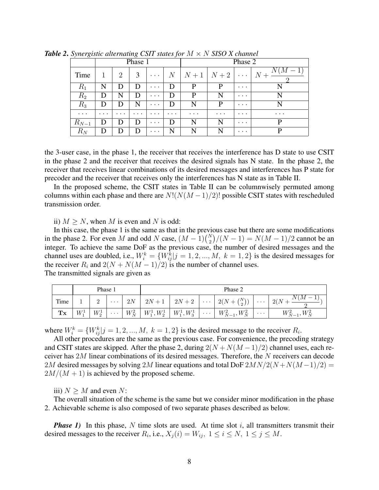|           |          |          | Phase 1  |          |              | Phase 2                                |          |          |          |  |
|-----------|----------|----------|----------|----------|--------------|----------------------------------------|----------|----------|----------|--|
| Time      |          | 2        |          | $\cdots$ |              | $\mid N \mid N+1 \mid N+2 \mid \cdots$ |          |          | $N +$    |  |
| $R_1$     | N        |          | Ð        | $\cdots$ | D            | P                                      | P        | $\cdots$ |          |  |
| $R_{2}$   |          | N        | D        | $\cdots$ | D            | P                                      | N        | $\cdots$ |          |  |
| $R_3$     |          |          | N        | $\cdots$ | D            | N                                      | P        | $\cdots$ |          |  |
| $\cdots$  | $\cdots$ | $\cdots$ | $\cdots$ | $\cdots$ | $\cdots$     | $\cdots$                               | $\cdots$ | $\cdots$ | $\cdots$ |  |
| $R_{N-1}$ |          |          | Ð        | $\cdots$ | $\mathbf{D}$ | N                                      | N        | $\cdots$ | р        |  |
| $R_N$     |          | Ð        | Ð        | $\cdots$ | N            | N                                      | N        | $\cdots$ | D        |  |

*Table 2*. *Synergistic alternating CSIT states for* M × N *SISO X channel*

the 3-user case, in the phase 1, the receiver that receives the interference has D state to use CSIT in the phase 2 and the receiver that receives the desired signals has N state. In the phase 2, the receiver that receives linear combinations of its desired messages and interferences has P state for precoder and the receiver that receives only the interferences has N state as in Table II.

In the proposed scheme, the CSIT states in Table II can be columnwisely permuted among columns within each phase and there are  $N!(N(M-1)/2)!$  possible CSIT states with rescheduled transmission order.

ii)  $M > N$ , when M is even and N is odd:

In this case, the phase 1 is the same as that in the previous case but there are some modifications in the phase 2. For even M and odd N case,  $(M - 1)\binom{N}{2}/(N - 1) = N(M - 1)/2$  cannot be an integer. To achieve the same DoF as the previous case, the number of desired messages and the channel uses are doubled, i.e.,  $W_i^k = \{W_{ij}^k | j = 1, 2, ..., M, k = 1, 2\}$  is the desired messages for the receiver  $R_i$  and  $2(N + N(M - 1)/2)$  is the number of channel uses. The transmitted signals are given as

|      | Phase 1 |         |          |  | Phase 2                                          |  |                                                                     |                      |                               |  |  |
|------|---------|---------|----------|--|--------------------------------------------------|--|---------------------------------------------------------------------|----------------------|-------------------------------|--|--|
| Time |         |         | $\cdots$ |  |                                                  |  | $2N$   $2N+1$   $2N+2$   $\cdots$   $2(N+{N \choose 2})$   $\cdots$ |                      | N(M)<br>$^{\circ}$ 2(N $\eta$ |  |  |
| Tx   | $W_1^1$ | $W^1_2$ | $\cdots$ |  | $ W_N^2  W_1^1, W_2^1   W_1^1, W_3^1   \cdots  $ |  | $W_{N-1}^2, W_N^2$                                                  | $\sim$ $\sim$ $\sim$ | $W_{N-1}^2$ ,<br>$W_N^2$      |  |  |

where  $W_i^k = \{W_{ij}^k | j = 1, 2, ..., M, k = 1, 2\}$  is the desired message to the receiver  $R_i$ .

All other procedures are the same as the previous case. For convenience, the precoding strategy and CSIT states are skipped. After the phase 2, during  $2(N + N(M-1)/2)$  channel uses, each receiver has 2M linear combinations of its desired messages. Therefore, the N receivers can decode 2M desired messages by solving 2M linear equations and total DoF  $2MN/2(N+N(M-1)/2) =$  $2M/(M + 1)$  is achieved by the proposed scheme.

iii)  $N \geq M$  and even N:

The overall situation of the scheme is the same but we consider minor modification in the phase 2. Achievable scheme is also composed of two separate phases described as below.

*Phase 1)* In this phase, N time slots are used. At time slot i, all transmitters transmit their desired messages to the receiver  $R_i$ , i.e.,  $X_j(i) = W_{ij}$ ,  $1 \le i \le N$ ,  $1 \le j \le M$ .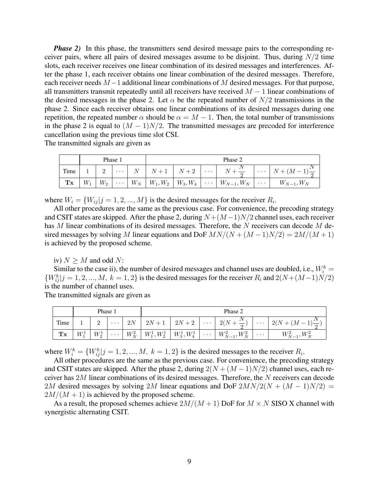*Phase 2*) In this phase, the transmitters send desired message pairs to the corresponding receiver pairs, where all pairs of desired messages assume to be disjoint. Thus, during  $N/2$  time slots, each receiver receives one linear combination of its desired messages and interferences. After the phase 1, each receiver obtains one linear combination of the desired messages. Therefore, each receiver needs  $M-1$  additional linear combinations of M desired messages. For that purpose, all transmitters transmit repeatedly until all receivers have received  $M - 1$  linear combinations of the desired messages in the phase 2. Let  $\alpha$  be the repeated number of  $N/2$  transmissions in the phase 2. Since each receiver obtains one linear combinations of its desired messages during one repetition, the repeated number  $\alpha$  should be  $\alpha = M - 1$ . Then, the total number of transmissions in the phase 2 is equal to  $(M - 1)N/2$ . The transmitted messages are precoded for interference cancellation using the previous time slot CSI.

The transmitted signals are given as

|      |       |       | Phase 1                  |       | Phase 2                                     |            |                          |          |                                   |  |  |
|------|-------|-------|--------------------------|-------|---------------------------------------------|------------|--------------------------|----------|-----------------------------------|--|--|
| Time |       |       | $\cdots$                 | $N+1$ | $\mid N+2$                                  | $\cdots$   | $N+\frac{1}{2}$          |          | $\cdots$ $N + (M-1)$ <sup>-</sup> |  |  |
| Tx   | $W_1$ | $W_2$ | $\sim$ - $\sim$ - $\sim$ |       | $\mid W_N \mid W_1, W_2 \mid W_3, W_4 \mid$ | $ \cdots $ | $\mid W_{N-1}, W_N \mid$ | $\cdots$ | $W_{N-1}, W_N$                    |  |  |

where  $W_i = \{W_{ij} | j = 1, 2, ..., M\}$  is the desired messages for the receiver  $R_i$ .

All other procedures are the same as the previous case. For convenience, the precoding strategy and CSIT states are skipped. After the phase 2, during  $N+(M-1)N/2$  channel uses, each receiver has M linear combinations of its desired messages. Therefore, the  $N$  receivers can decode  $M$  desired messages by solving M linear equations and DoF  $MN/(N+(M-1)N/2) = 2M/(M+1)$ is achieved by the proposed scheme.

iv)  $N > M$  and odd N:

Similar to the case ii), the number of desired messages and channel uses are doubled, i.e.,  $W_i^k =$  ${W_{ij}^k}$   $j = 1, 2, ..., M, k = 1, 2}$  is the desired messages for the receiver  $R_i$  and  $2(N + (M-1)N/2)$ is the number of channel uses.

The transmitted signals are given as

|                           | Phase 1 |         |          |  |                                                  | Phase 2 |  |                    |                             |               |  |  |
|---------------------------|---------|---------|----------|--|--------------------------------------------------|---------|--|--------------------|-----------------------------|---------------|--|--|
| Time                      |         |         |          |  | $12N$   $2N+1$   $2N+2$   $\cdots$               |         |  | $12(N+1)$          | $\sim$ $\sim$ $\sim$ $\sim$ | $12(N+(M-$    |  |  |
| ${\mathbf T} {\mathbf x}$ |         | $W^1_2$ | $\cdots$ |  | $ W_N^2  W_1^1, W_2^1   W_3^1, W_4^1   \cdots  $ |         |  | $W_{N-1}^2, W_N^2$ | $\cdots$ .<br><br><br><br>  | $W_{N-1}^2$ , |  |  |

where  $W_i^k = \{W_{ij}^k | j = 1, 2, ..., M, k = 1, 2\}$  is the desired messages to the receiver  $R_i$ .

All other procedures are the same as the previous case. For convenience, the precoding strategy and CSIT states are skipped. After the phase 2, during  $2(N + (M - 1)N/2)$  channel uses, each receiver has 2M linear combinations of its desired messages. Therefore, the N receivers can decode 2M desired messages by solving 2M linear equations and DoF  $2MN/2(N + (M - 1)N/2)$  =  $2M/(M + 1)$  is achieved by the proposed scheme.

As a result, the proposed schemes achieve  $2M/(M+1)$  DoF for  $M \times N$  SISO X channel with synergistic alternating CSIT.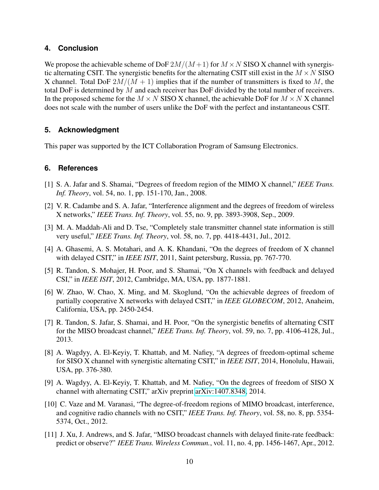### **4. Conclusion**

We propose the achievable scheme of DoF  $2M/(M+1)$  for  $M \times N$  SISO X channel with synergistic alternating CSIT. The synergistic benefits for the alternating CSIT still exist in the  $M \times N$  SISO X channel. Total DoF  $2M/(M + 1)$  implies that if the number of transmitters is fixed to M, the total DoF is determined by M and each receiver has DoF divided by the total number of receivers. In the proposed scheme for the  $M \times N$  SISO X channel, the achievable DoF for  $M \times N$  X channel does not scale with the number of users unlike the DoF with the perfect and instantaneous CSIT.

## **5. Acknowledgment**

This paper was supported by the ICT Collaboration Program of Samsung Electronics.

### **6. References**

- [1] S. A. Jafar and S. Shamai, "Degrees of freedom region of the MIMO X channel," *IEEE Trans. Inf. Theory*, vol. 54, no. 1, pp. 151-170, Jan., 2008.
- [2] V. R. Cadambe and S. A. Jafar, "Interference alignment and the degrees of freedom of wireless X networks," *IEEE Trans. Inf. Theory*, vol. 55, no. 9, pp. 3893-3908, Sep., 2009.
- [3] M. A. Maddah-Ali and D. Tse, "Completely stale transmitter channel state information is still very useful," *IEEE Trans. Inf. Theory*, vol. 58, no. 7, pp. 4418-4431, Jul., 2012.
- [4] A. Ghasemi, A. S. Motahari, and A. K. Khandani, "On the degrees of freedom of X channel with delayed CSIT," in *IEEE ISIT*, 2011, Saint petersburg, Russia, pp. 767-770.
- [5] R. Tandon, S. Mohajer, H. Poor, and S. Shamai, "On X channels with feedback and delayed CSI," in *IEEE ISIT*, 2012, Cambridge, MA, USA, pp. 1877-1881.
- [6] W. Zhao, W. Chao, X. Ming, and M. Skoglund, "On the achievable degrees of freedom of partially cooperative X networks with delayed CSIT," in *IEEE GLOBECOM*, 2012, Anaheim, California, USA, pp. 2450-2454.
- [7] R. Tandon, S. Jafar, S. Shamai, and H. Poor, "On the synergistic benefits of alternating CSIT for the MISO broadcast channel," *IEEE Trans. Inf. Theory*, vol. 59, no. 7, pp. 4106-4128, Jul., 2013.
- [8] A. Wagdyy, A. El-Keyiy, T. Khattab, and M. Nafiey, "A degrees of freedom-optimal scheme for SISO X channel with synergistic alternating CSIT," in *IEEE ISIT*, 2014, Honolulu, Hawaii, USA, pp. 376-380.
- [9] A. Wagdyy, A. El-Keyiy, T. Khattab, and M. Nafiey, "On the degrees of freedom of SISO X channel with alternating CSIT," arXiv preprint [arXiv:1407.8348,](http://arxiv.org/abs/1407.8348) 2014.
- [10] C. Vaze and M. Varanasi, "The degree-of-freedom regions of MIMO broadcast, interference, and cognitive radio channels with no CSIT," *IEEE Trans. Inf. Theory*, vol. 58, no. 8, pp. 5354- 5374, Oct., 2012.
- [11] J. Xu, J. Andrews, and S. Jafar, "MISO broadcast channels with delayed finite-rate feedback: predict or observe?" *IEEE Trans. Wireless Commun.*, vol. 11, no. 4, pp. 1456-1467, Apr., 2012.